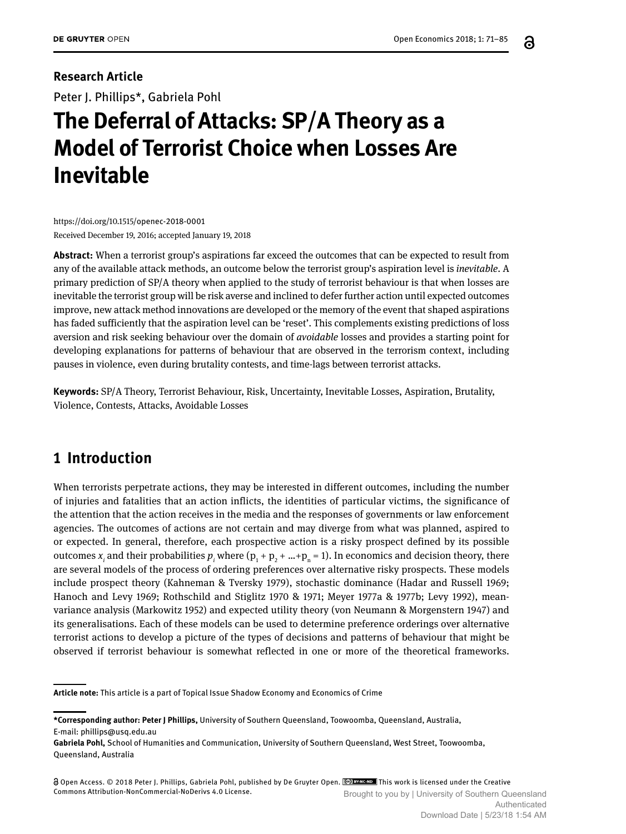a

# Peter J. Phillips\*, Gabriela Pohl **The Deferral of Attacks: SP/A Theory as a Model of Terrorist Choice when Losses Are Inevitable Research Article**

https://doi.org/10.1515/openec-2018-0001 Received December 19, 2016; accepted January 19, 2018

**Abstract:** When a terrorist group's aspirations far exceed the outcomes that can be expected to result from any of the available attack methods, an outcome below the terrorist group's aspiration level is *inevitable*. A primary prediction of SP/A theory when applied to the study of terrorist behaviour is that when losses are inevitable the terrorist group will be risk averse and inclined to defer further action until expected outcomes improve, new attack method innovations are developed or the memory of the event that shaped aspirations has faded sufficiently that the aspiration level can be 'reset'. This complements existing predictions of loss aversion and risk seeking behaviour over the domain of *avoidable* losses and provides a starting point for developing explanations for patterns of behaviour that are observed in the terrorism context, including pauses in violence, even during brutality contests, and time-lags between terrorist attacks.

**Keywords:** SP/A Theory, Terrorist Behaviour, Risk, Uncertainty, Inevitable Losses, Aspiration, Brutality, Violence, Contests, Attacks, Avoidable Losses

### **1 Introduction**

When terrorists perpetrate actions, they may be interested in different outcomes, including the number of injuries and fatalities that an action inflicts, the identities of particular victims, the significance of the attention that the action receives in the media and the responses of governments or law enforcement agencies. The outcomes of actions are not certain and may diverge from what was planned, aspired to or expected. In general, therefore, each prospective action is a risky prospect defined by its possible outcomes  $x_i$  and their probabilities  $p_i$  where ( $p_1 + p_2 + ... + p_n = 1$ ). In economics and decision theory, there are several models of the process of ordering preferences over alternative risky prospects. These models include prospect theory (Kahneman & Tversky 1979), stochastic dominance (Hadar and Russell 1969; Hanoch and Levy 1969; Rothschild and Stiglitz 1970 & 1971; Meyer 1977a & 1977b; Levy 1992), meanvariance analysis (Markowitz 1952) and expected utility theory (von Neumann & Morgenstern 1947) and its generalisations. Each of these models can be used to determine preference orderings over alternative terrorist actions to develop a picture of the types of decisions and patterns of behaviour that might be observed if terrorist behaviour is somewhat reflected in one or more of the theoretical frameworks.

**Article note:** This article is a part of Topical Issue Shadow Economy and Economics of Crime

**<sup>\*</sup>Corresponding author: Peter J Phillips,** University of Southern Queensland, Toowoomba, Queensland, Australia, E-mail: phillips@usq.edu.au

**Gabriela Pohl,** School of Humanities and Communication, University of Southern Queensland, West Street, Toowoomba, Queensland, Australia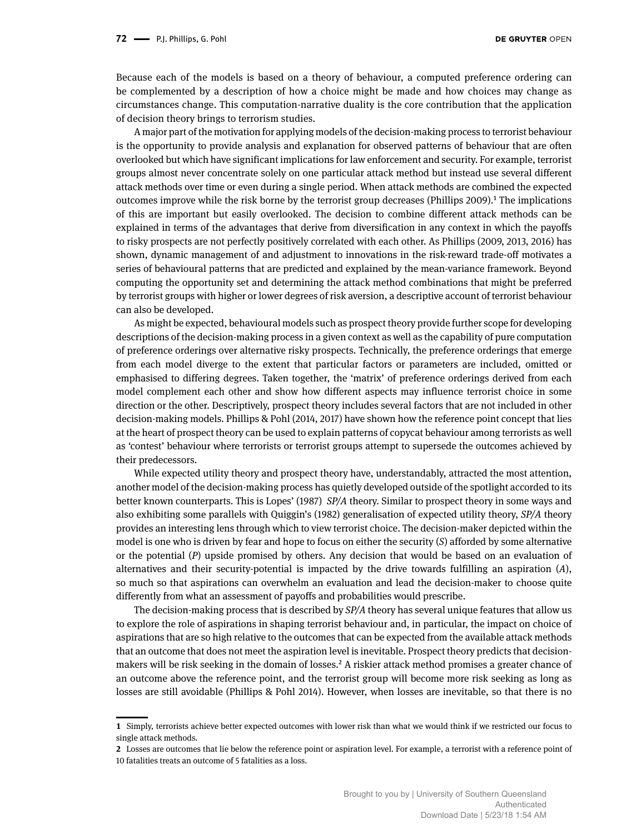Because each of the models is based on a theory of behaviour, a computed preference ordering can be complemented by a description of how a choice might be made and how choices may change as circumstances change. This computation-narrative duality is the core contribution that the application of decision theory brings to terrorism studies.

A major part of the motivation for applying models of the decision-making process to terrorist behaviour is the opportunity to provide analysis and explanation for observed patterns of behaviour that are often overlooked but which have significant implications for law enforcement and security. For example, terrorist groups almost never concentrate solely on one particular attack method but instead use several different attack methods over time or even during a single period. When attack methods are combined the expected outcomes improve while the risk borne by the terrorist group decreases (Phillips 2009).<sup>1</sup> The implications of this are important but easily overlooked. The decision to combine different attack methods can be explained in terms of the advantages that derive from diversification in any context in which the payoffs to risky prospects are not perfectly positively correlated with each other. As Phillips (2009, 2013, 2016) has shown, dynamic management of and adjustment to innovations in the risk-reward trade-off motivates a series of behavioural patterns that are predicted and explained by the mean-variance framework. Beyond computing the opportunity set and determining the attack method combinations that might be preferred by terrorist groups with higher or lower degrees of risk aversion, a descriptive account of terrorist behaviour can also be developed.

As might be expected, behavioural models such as prospect theory provide further scope for developing descriptions of the decision-making process in a given context as well as the capability of pure computation of preference orderings over alternative risky prospects. Technically, the preference orderings that emerge from each model diverge to the extent that particular factors or parameters are included, omitted or emphasised to differing degrees. Taken together, the 'matrix' of preference orderings derived from each model complement each other and show how different aspects may influence terrorist choice in some direction or the other. Descriptively, prospect theory includes several factors that are not included in other decision-making models. Phillips & Pohl (2014, 2017) have shown how the reference point concept that lies at the heart of prospect theory can be used to explain patterns of copycat behaviour among terrorists as well as 'contest' behaviour where terrorists or terrorist groups attempt to supersede the outcomes achieved by their predecessors.

While expected utility theory and prospect theory have, understandably, attracted the most attention, another model of the decision-making process has quietly developed outside of the spotlight accorded to its better known counterparts. This is Lopes' (1987) *SP/A* theory. Similar to prospect theory in some ways and also exhibiting some parallels with Quiggin's (1982) generalisation of expected utility theory, *SP/A* theory provides an interesting lens through which to view terrorist choice. The decision-maker depicted within the model is one who is driven by fear and hope to focus on either the security (*S*) afforded by some alternative or the potential (*P*) upside promised by others. Any decision that would be based on an evaluation of alternatives and their security-potential is impacted by the drive towards fulfilling an aspiration (*A*), so much so that aspirations can overwhelm an evaluation and lead the decision-maker to choose quite differently from what an assessment of payoffs and probabilities would prescribe.

The decision-making process that is described by *SP/A* theory has several unique features that allow us to explore the role of aspirations in shaping terrorist behaviour and, in particular, the impact on choice of aspirations that are so high relative to the outcomes that can be expected from the available attack methods that an outcome that does not meet the aspiration level is inevitable. Prospect theory predicts that decisionmakers will be risk seeking in the domain of losses.<sup>2</sup> A riskier attack method promises a greater chance of an outcome above the reference point, and the terrorist group will become more risk seeking as long as losses are still avoidable (Phillips & Pohl 2014). However, when losses are inevitable, so that there is no

**<sup>1</sup>** Simply, terrorists achieve better expected outcomes with lower risk than what we would think if we restricted our focus to single attack methods.

**<sup>2</sup>** Losses are outcomes that lie below the reference point or aspiration level. For example, a terrorist with a reference point of 10 fatalities treats an outcome of 5 fatalities as a loss.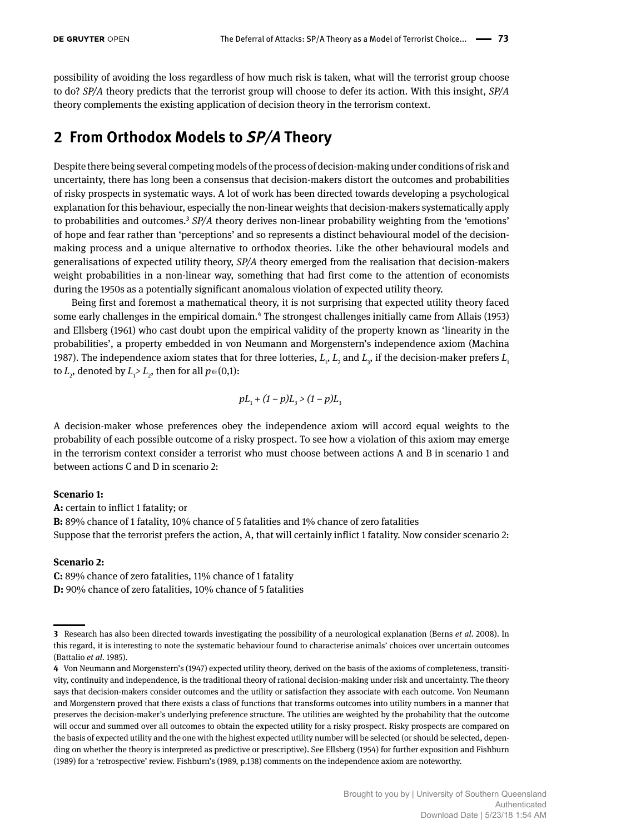possibility of avoiding the loss regardless of how much risk is taken, what will the terrorist group choose to do? *SP/A* theory predicts that the terrorist group will choose to defer its action. With this insight, *SP/A*  theory complements the existing application of decision theory in the terrorism context.

# **2 From Orthodox Models to** *SP/A* **Theory**

Despite there being several competing models of the process of decision-making under conditions of risk and uncertainty, there has long been a consensus that decision-makers distort the outcomes and probabilities of risky prospects in systematic ways. A lot of work has been directed towards developing a psychological explanation for this behaviour, especially the non-linear weights that decision-makers systematically apply to probabilities and outcomes.<sup>3</sup> *SP*/*A* theory derives non-linear probability weighting from the 'emotions' of hope and fear rather than 'perceptions' and so represents a distinct behavioural model of the decisionmaking process and a unique alternative to orthodox theories. Like the other behavioural models and generalisations of expected utility theory, *SP/A* theory emerged from the realisation that decision-makers weight probabilities in a non-linear way, something that had first come to the attention of economists during the 1950s as a potentially significant anomalous violation of expected utility theory.

Being first and foremost a mathematical theory, it is not surprising that expected utility theory faced some early challenges in the empirical domain.4 The strongest challenges initially came from Allais (1953) and Ellsberg (1961) who cast doubt upon the empirical validity of the property known as 'linearity in the probabilities', a property embedded in von Neumann and Morgenstern's independence axiom (Machina 1987). The independence axiom states that for three lotteries,  $L_{_1}, L_{_2}$  and  $L_{_3},$  if the decision-maker prefers  $L_{_1}$ to  $L_2$ , denoted by  $L_1 > L_2$ , then for all  $p \in (0,1)$ :

$$
pL_{1} + (1-p)L_{3} > (1-p)L_{3}
$$

A decision-maker whose preferences obey the independence axiom will accord equal weights to the probability of each possible outcome of a risky prospect. To see how a violation of this axiom may emerge in the terrorism context consider a terrorist who must choose between actions A and B in scenario 1 and between actions C and D in scenario 2:

#### **Scenario 1:**

**A:** certain to inflict 1 fatality; or **B:** 89% chance of 1 fatality, 10% chance of 5 fatalities and 1% chance of zero fatalities Suppose that the terrorist prefers the action, A, that will certainly inflict 1 fatality. Now consider scenario 2:

### **Scenario 2:**

**C:** 89% chance of zero fatalities, 11% chance of 1 fatality **D:** 90% chance of zero fatalities, 10% chance of 5 fatalities

**<sup>3</sup>** Research has also been directed towards investigating the possibility of a neurological explanation (Berns *et al*. 2008). In this regard, it is interesting to note the systematic behaviour found to characterise animals' choices over uncertain outcomes (Battalio *et al*. 1985).

**<sup>4</sup>** Von Neumann and Morgenstern's (1947) expected utility theory, derived on the basis of the axioms of completeness, transitivity, continuity and independence, is the traditional theory of rational decision-making under risk and uncertainty. The theory says that decision-makers consider outcomes and the utility or satisfaction they associate with each outcome. Von Neumann and Morgenstern proved that there exists a class of functions that transforms outcomes into utility numbers in a manner that preserves the decision-maker's underlying preference structure. The utilities are weighted by the probability that the outcome will occur and summed over all outcomes to obtain the expected utility for a risky prospect. Risky prospects are compared on the basis of expected utility and the one with the highest expected utility number will be selected (or should be selected, depending on whether the theory is interpreted as predictive or prescriptive). See Ellsberg (1954) for further exposition and Fishburn (1989) for a 'retrospective' review. Fishburn's (1989, p.138) comments on the independence axiom are noteworthy.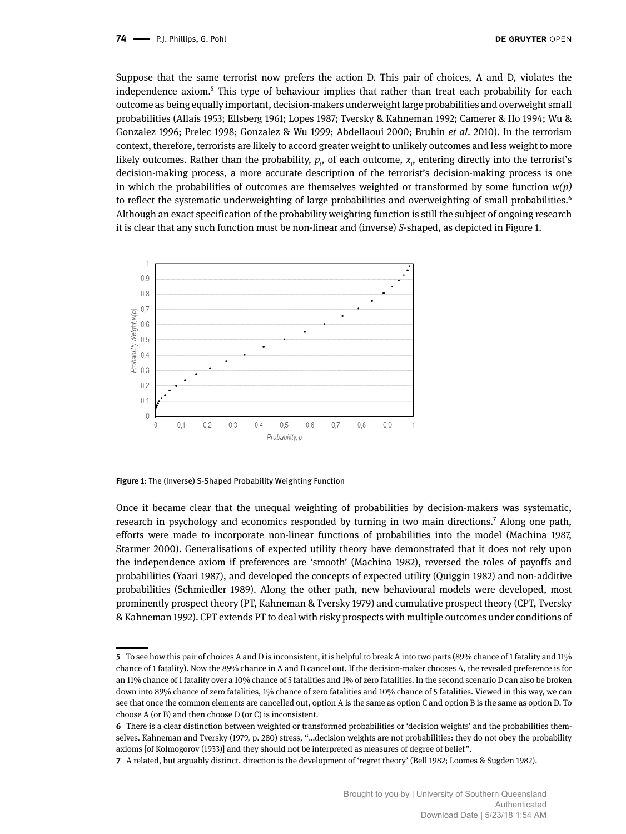#### 74 - P.I. Phillips, G. Pohl

Suppose that the same terrorist now prefers the action D. This pair of choices, A and D, violates the independence axiom.<sup>5</sup> This type of behaviour implies that rather than treat each probability for each outcome as being equally important, decision-makers underweight large probabilities and overweight small probabilities (Allais 1953; Ellsberg 1961; Lopes 1987; Tversky & Kahneman 1992; Camerer & Ho 1994; Wu & Gonzalez 1996; Prelec 1998; Gonzalez & Wu 1999; Abdellaoui 2000; Bruhin *et al*. 2010). In the terrorism context, therefore, terrorists are likely to accord greater weight to unlikely outcomes and less weight to more likely outcomes. Rather than the probability,  $p_{\scriptscriptstyle \rm i}$ , of each outcome,  $x_{\scriptscriptstyle \rm i}$ , entering directly into the terrorist's decision-making process, a more accurate description of the terrorist's decision-making process is one in which the probabilities of outcomes are themselves weighted or transformed by some function *w(p)* to reflect the systematic underweighting of large probabilities and overweighting of small probabilities.<sup>6</sup> Although an exact specification of the probability weighting function is still the subject of ongoing research it is clear that any such function must be non-linear and (inverse) *S*-shaped, as depicted in Figure 1.



**Figure 1:** The (Inverse) S-Shaped Probability Weighting Function

Once it became clear that the unequal weighting of probabilities by decision-makers was systematic, research in psychology and economics responded by turning in two main directions.7 Along one path, efforts were made to incorporate non-linear functions of probabilities into the model (Machina 1987, Starmer 2000). Generalisations of expected utility theory have demonstrated that it does not rely upon the independence axiom if preferences are 'smooth' (Machina 1982), reversed the roles of payoffs and probabilities (Yaari 1987), and developed the concepts of expected utility (Quiggin 1982) and non-additive probabilities (Schmiedler 1989). Along the other path, new behavioural models were developed, most prominently prospect theory (PT, Kahneman & Tversky 1979) and cumulative prospect theory (CPT, Tversky & Kahneman 1992). CPT extends PT to deal with risky prospects with multiple outcomes under conditions of

**<sup>5</sup>** To see how this pair of choices A and D is inconsistent, it is helpful to break A into two parts (89% chance of 1 fatality and 11% chance of 1 fatality). Now the 89% chance in A and B cancel out. If the decision-maker chooses A, the revealed preference is for an 11% chance of 1 fatality over a 10% chance of 5 fatalities and 1% of zero fatalities. In the second scenario D can also be broken down into 89% chance of zero fatalities, 1% chance of zero fatalities and 10% chance of 5 fatalities. Viewed in this way, we can see that once the common elements are cancelled out, option A is the same as option C and option B is the same as option D. To choose A (or B) and then choose D (or C) is inconsistent.

**<sup>6</sup>** There is a clear distinction between weighted or transformed probabilities or 'decision weights' and the probabilities themselves. Kahneman and Tversky (1979, p. 280) stress, "…decision weights are not probabilities: they do not obey the probability axioms [of Kolmogorov (1933)] and they should not be interpreted as measures of degree of belief".

**<sup>7</sup>** A related, but arguably distinct, direction is the development of 'regret theory' (Bell 1982; Loomes & Sugden 1982).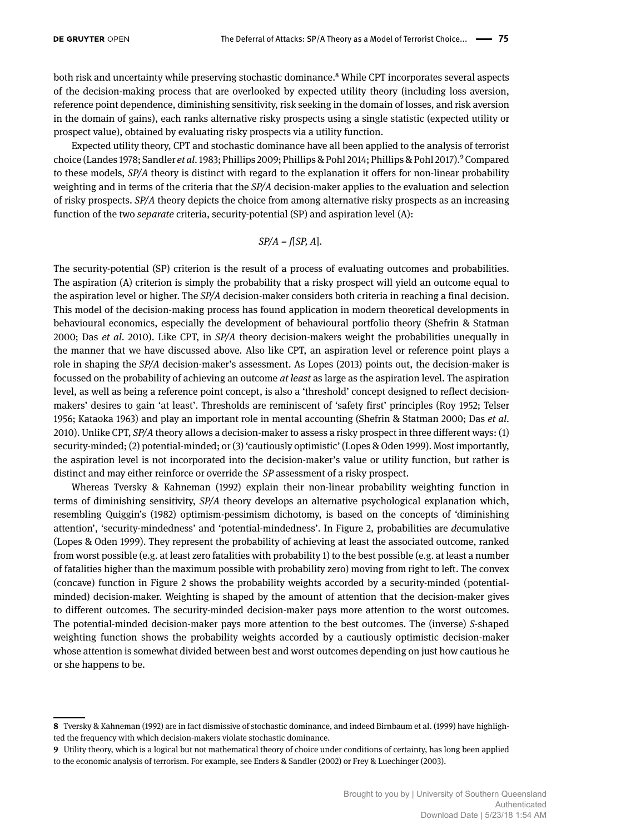both risk and uncertainty while preserving stochastic dominance.<sup>8</sup> While CPT incorporates several aspects of the decision-making process that are overlooked by expected utility theory (including loss aversion, reference point dependence, diminishing sensitivity, risk seeking in the domain of losses, and risk aversion in the domain of gains), each ranks alternative risky prospects using a single statistic (expected utility or prospect value), obtained by evaluating risky prospects via a utility function.

Expected utility theory, CPT and stochastic dominance have all been applied to the analysis of terrorist choice (Landes 1978; Sandler *et al.* 1983; Phillips 2009; Phillips & Pohl 2014; Phillips & Pohl 2017).<sup>9</sup> Compared to these models, *SP/A* theory is distinct with regard to the explanation it offers for non-linear probability weighting and in terms of the criteria that the *SP/A* decision-maker applies to the evaluation and selection of risky prospects. *SP/A* theory depicts the choice from among alternative risky prospects as an increasing function of the two *separate* criteria, security-potential (SP) and aspiration level (A):

### *SP/A = f*[*SP, A*].

The security-potential (SP) criterion is the result of a process of evaluating outcomes and probabilities. The aspiration (A) criterion is simply the probability that a risky prospect will yield an outcome equal to the aspiration level or higher. The *SP/A* decision-maker considers both criteria in reaching a final decision. This model of the decision-making process has found application in modern theoretical developments in behavioural economics, especially the development of behavioural portfolio theory (Shefrin & Statman 2000; Das *et al*. 2010). Like CPT, in *SP/A* theory decision-makers weight the probabilities unequally in the manner that we have discussed above. Also like CPT, an aspiration level or reference point plays a role in shaping the *SP/A* decision-maker's assessment. As Lopes (2013) points out, the decision-maker is focussed on the probability of achieving an outcome *at least* as large as the aspiration level. The aspiration level, as well as being a reference point concept, is also a 'threshold' concept designed to reflect decisionmakers' desires to gain 'at least'. Thresholds are reminiscent of 'safety first' principles (Roy 1952; Telser 1956; Kataoka 1963) and play an important role in mental accounting (Shefrin & Statman 2000; Das *et al*. 2010). Unlike CPT, *SP/A* theory allows a decision-maker to assess a risky prospect in three different ways: (1) security-minded; (2) potential-minded; or (3) 'cautiously optimistic' (Lopes & Oden 1999). Most importantly, the aspiration level is not incorporated into the decision-maker's value or utility function, but rather is distinct and may either reinforce or override the *SP* assessment of a risky prospect.

Whereas Tversky & Kahneman (1992) explain their non-linear probability weighting function in terms of diminishing sensitivity, *SP/A* theory develops an alternative psychological explanation which, resembling Quiggin's (1982) optimism-pessimism dichotomy, is based on the concepts of 'diminishing attention', 'security-mindedness' and 'potential-mindedness'. In Figure 2, probabilities are *de*cumulative (Lopes & Oden 1999). They represent the probability of achieving at least the associated outcome, ranked from worst possible (e.g. at least zero fatalities with probability 1) to the best possible (e.g. at least a number of fatalities higher than the maximum possible with probability zero) moving from right to left. The convex (concave) function in Figure 2 shows the probability weights accorded by a security-minded (potentialminded) decision-maker. Weighting is shaped by the amount of attention that the decision-maker gives to different outcomes. The security-minded decision-maker pays more attention to the worst outcomes. The potential-minded decision-maker pays more attention to the best outcomes. The (inverse) *S*-shaped weighting function shows the probability weights accorded by a cautiously optimistic decision-maker whose attention is somewhat divided between best and worst outcomes depending on just how cautious he or she happens to be.

**<sup>8</sup>** Tversky & Kahneman (1992) are in fact dismissive of stochastic dominance, and indeed Birnbaum et al. (1999) have highlighted the frequency with which decision-makers violate stochastic dominance.

**<sup>9</sup>** Utility theory, which is a logical but not mathematical theory of choice under conditions of certainty, has long been applied to the economic analysis of terrorism. For example, see Enders & Sandler (2002) or Frey & Luechinger (2003).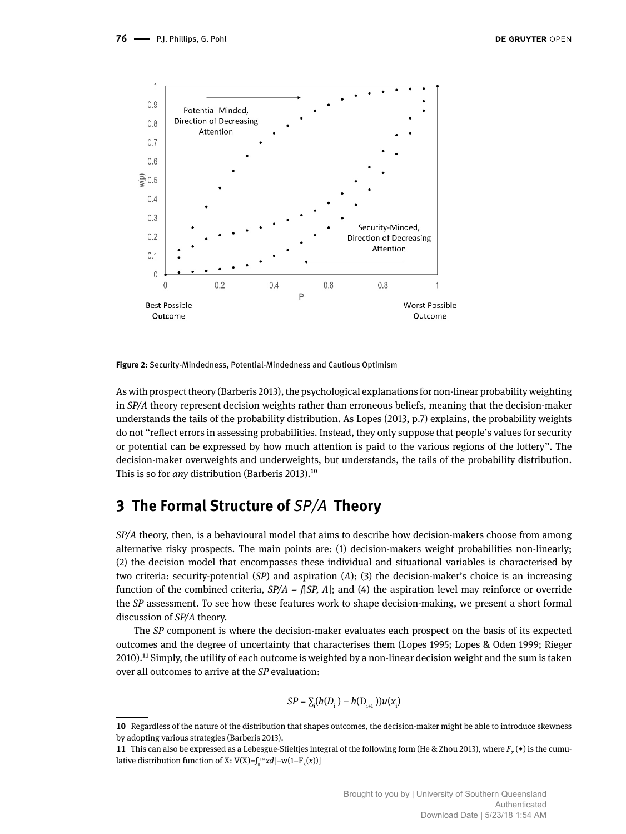

**Figure 2:** Security-Mindedness, Potential-Mindedness and Cautious Optimism

As with prospect theory (Barberis 2013), the psychological explanations for non-linear probability weighting in *SP/A* theory represent decision weights rather than erroneous beliefs, meaning that the decision-maker understands the tails of the probability distribution. As Lopes (2013, p.7) explains, the probability weights do not "reflect errors in assessing probabilities. Instead, they only suppose that people's values for security or potential can be expressed by how much attention is paid to the various regions of the lottery". The decision-maker overweights and underweights, but understands, the tails of the probability distribution. This is so for *any* distribution (Barberis 2013).<sup>10</sup>

### **3 The Formal Structure of** *SP/A* **Theory**

*SP/A* theory, then, is a behavioural model that aims to describe how decision-makers choose from among alternative risky prospects. The main points are: (1) decision-makers weight probabilities non-linearly; (2) the decision model that encompasses these individual and situational variables is characterised by two criteria: security-potential (*SP*) and aspiration (*A*); (3) the decision-maker's choice is an increasing function of the combined criteria, *SP/A = f*[*SP, A*]; and (4) the aspiration level may reinforce or override the *SP* assessment. To see how these features work to shape decision-making, we present a short formal discussion of *SP/A* theory.

The *SP* component is where the decision-maker evaluates each prospect on the basis of its expected outcomes and the degree of uncertainty that characterises them (Lopes 1995; Lopes & Oden 1999; Rieger 2010).11 Simply, the utility of each outcome is weighted by a non-linear decision weight and the sum is taken over all outcomes to arrive at the *SP* evaluation:

$$
SP = \sum_{i} (h(D_{i}) - h(D_{i+1})) u(x_{i})
$$

**<sup>10</sup>** Regardless of the nature of the distribution that shapes outcomes, the decision-maker might be able to introduce skewness by adopting various strategies (Barberis 2013).

**<sup>11</sup>** This can also be expressed as a Lebesgue-Stieltjes integral of the following form (He & Zhou 2013), where  $F_v$  (•) is the cumulative distribution function of X:  $V(X)=\int_0^{+\infty}x d[-w(1-F_\chi(x))]$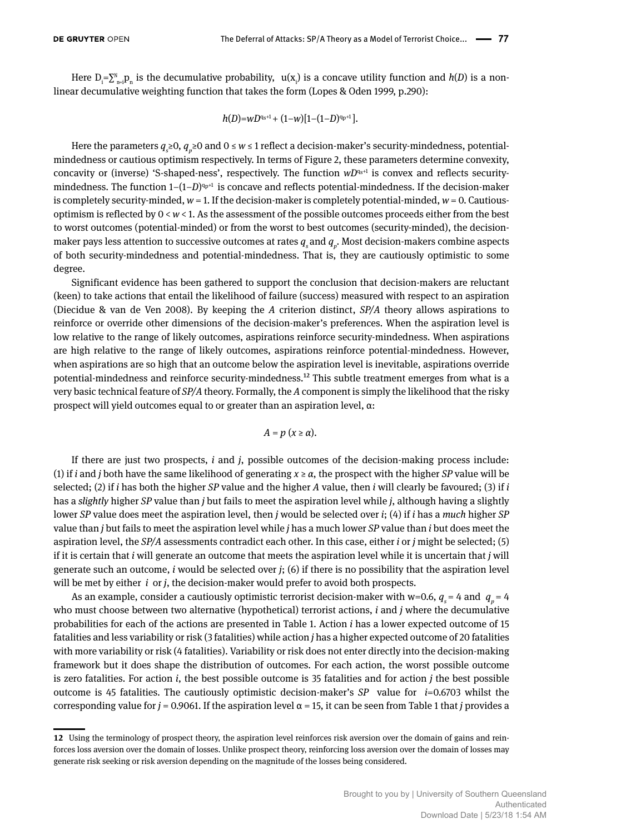Here  $D_i = \sum_{n=1}^N p_n$  is the decumulative probability,  $u(x_i)$  is a concave utility function and  $h(D)$  is a nonlinear decumulative weighting function that takes the form (Lopes & Oden 1999, p.290):

$$
h(D)=wD^{q_{s}+1}+(1-w)[1-(1-D)^{q_{p}+1}].
$$

Here the parameters  $q_{s}$ ≥0,  $q_{p}$ ≥0 and 0 ≤ *w* ≤ 1 reflect a decision-maker's security-mindedness, potentialmindedness or cautious optimism respectively. In terms of Figure 2, these parameters determine convexity, concavity or (inverse) 'S-shaped-ness', respectively. The function  $wD<sub>qs+1</sub>$  is convex and reflects securitymindedness. The function  $1-(1-D)^{qp+1}$  is concave and reflects potential-mindedness. If the decision-maker is completely security-minded,  $w = 1$ . If the decision-maker is completely potential-minded,  $w = 0$ . Cautiousoptimism is reflected by 0 < *w* < 1. As the assessment of the possible outcomes proceeds either from the best to worst outcomes (potential-minded) or from the worst to best outcomes (security-minded), the decisionmaker pays less attention to successive outcomes at rates  $q_{_S}$ and  $q_{_P}$ . Most decision-makers combine aspects of both security-mindedness and potential-mindedness. That is, they are cautiously optimistic to some degree.

Significant evidence has been gathered to support the conclusion that decision-makers are reluctant (keen) to take actions that entail the likelihood of failure (success) measured with respect to an aspiration (Diecidue & van de Ven 2008). By keeping the *A* criterion distinct, *SP/A* theory allows aspirations to reinforce or override other dimensions of the decision-maker's preferences. When the aspiration level is low relative to the range of likely outcomes, aspirations reinforce security-mindedness. When aspirations are high relative to the range of likely outcomes, aspirations reinforce potential-mindedness. However, when aspirations are so high that an outcome below the aspiration level is inevitable, aspirations override potential-mindedness and reinforce security-mindedness.12 This subtle treatment emerges from what is a very basic technical feature of *SP/A* theory. Formally, the *A* component is simply the likelihood that the risky prospect will yield outcomes equal to or greater than an aspiration level, α:

$$
A=p\ (x\geq \alpha).
$$

If there are just two prospects, *i* and *j*, possible outcomes of the decision-making process include: (1) if *i* and *j* both have the same likelihood of generating  $x \ge a$ , the prospect with the higher *SP* value will be selected; (2) if *i* has both the higher *SP* value and the higher *A* value, then *i* will clearly be favoured; (3) if *i* has a *slightly* higher *SP* value than *j* but fails to meet the aspiration level while *j*, although having a slightly lower *SP* value does meet the aspiration level, then *j* would be selected over *i*; (4) if *i* has a *much* higher *SP* value than *j* but fails to meet the aspiration level while *j* has a much lower *SP* value than *i* but does meet the aspiration level, the *SP/A* assessments contradict each other. In this case, either *i* or *j* might be selected; (5) if it is certain that *i* will generate an outcome that meets the aspiration level while it is uncertain that *j* will generate such an outcome, *i* would be selected over *j*; (6) if there is no possibility that the aspiration level will be met by either *i* or *j*, the decision-maker would prefer to avoid both prospects.

As an example, consider a cautiously optimistic terrorist decision-maker with w=0.6,  $q_s = 4$  and  $q_n = 4$ who must choose between two alternative (hypothetical) terrorist actions, *i* and *j* where the decumulative probabilities for each of the actions are presented in Table 1. Action *i* has a lower expected outcome of 15 fatalities and less variability or risk (3 fatalities) while action *j* has a higher expected outcome of 20 fatalities with more variability or risk (4 fatalities). Variability or risk does not enter directly into the decision-making framework but it does shape the distribution of outcomes. For each action, the worst possible outcome is zero fatalities. For action *i*, the best possible outcome is 35 fatalities and for action *j* the best possible outcome is 45 fatalities. The cautiously optimistic decision-maker's *SP* value for *i*=0.6703 whilst the corresponding value for *j* = 0.9061. If the aspiration level  $\alpha$  = 15, it can be seen from Table 1 that *j* provides a

**<sup>12</sup>** Using the terminology of prospect theory, the aspiration level reinforces risk aversion over the domain of gains and reinforces loss aversion over the domain of losses. Unlike prospect theory, reinforcing loss aversion over the domain of losses may generate risk seeking or risk aversion depending on the magnitude of the losses being considered.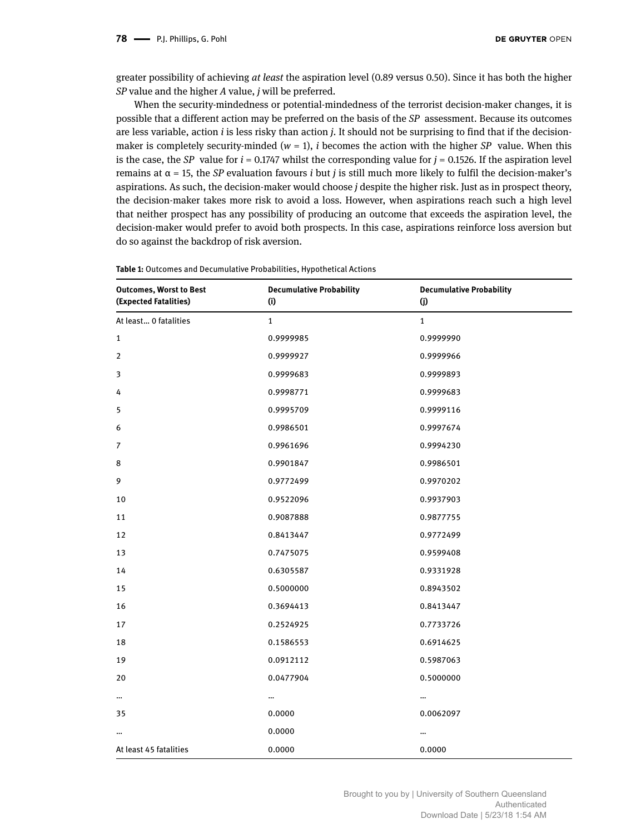greater possibility of achieving *at least* the aspiration level (0.89 versus 0.50). Since it has both the higher *SP* value and the higher *A* value, *j* will be preferred.

When the security-mindedness or potential-mindedness of the terrorist decision-maker changes, it is possible that a different action may be preferred on the basis of the *SP* assessment. Because its outcomes are less variable, action *i* is less risky than action *j*. It should not be surprising to find that if the decisionmaker is completely security-minded ( $w = 1$ ), *i* becomes the action with the higher *SP* value. When this is the case, the *SP* value for  $i = 0.1747$  whilst the corresponding value for  $j = 0.1526$ . If the aspiration level remains at α = 15, the *SP* evaluation favours *i* but *j* is still much more likely to fulfil the decision-maker's aspirations. As such, the decision-maker would choose *j* despite the higher risk. Just as in prospect theory, the decision-maker takes more risk to avoid a loss. However, when aspirations reach such a high level that neither prospect has any possibility of producing an outcome that exceeds the aspiration level, the decision-maker would prefer to avoid both prospects. In this case, aspirations reinforce loss aversion but do so against the backdrop of risk aversion.

| <b>Outcomes, Worst to Best</b><br>(Expected Fatalities) | <b>Decumulative Probability</b><br>(i) | <b>Decumulative Probability</b><br>(j) |
|---------------------------------------------------------|----------------------------------------|----------------------------------------|
| At least 0 fatalities                                   | $\mathbf{1}$                           | $\mathbf{1}$                           |
| $\mathbf{1}$                                            | 0.9999985                              | 0.9999990                              |
| $\overline{2}$                                          | 0.9999927                              | 0.9999966                              |
| 3                                                       | 0.9999683                              | 0.9999893                              |
| 4                                                       | 0.9998771                              | 0.9999683                              |
| 5                                                       | 0.9995709                              | 0.9999116                              |
| 6                                                       | 0.9986501                              | 0.9997674                              |
| 7                                                       | 0.9961696                              | 0.9994230                              |
| 8                                                       | 0.9901847                              | 0.9986501                              |
| 9                                                       | 0.9772499                              | 0.9970202                              |
| 10                                                      | 0.9522096                              | 0.9937903                              |
| 11                                                      | 0.9087888                              | 0.9877755                              |
| 12                                                      | 0.8413447                              | 0.9772499                              |
| 13                                                      | 0.7475075                              | 0.9599408                              |
| 14                                                      | 0.6305587                              | 0.9331928                              |
| 15                                                      | 0.5000000                              | 0.8943502                              |
| 16                                                      | 0.3694413                              | 0.8413447                              |
| 17                                                      | 0.2524925                              | 0.7733726                              |
| 18                                                      | 0.1586553                              | 0.6914625                              |
| 19                                                      | 0.0912112                              | 0.5987063                              |
| 20                                                      | 0.0477904                              | 0.5000000                              |
|                                                         | $\cdots$                               |                                        |
| 35                                                      | 0.0000                                 | 0.0062097                              |
|                                                         | 0.0000                                 | $\cdots$                               |
| At least 45 fatalities                                  | 0.0000                                 | 0.0000                                 |

**Table 1:** Outcomes and Decumulative Probabilities, Hypothetical Actions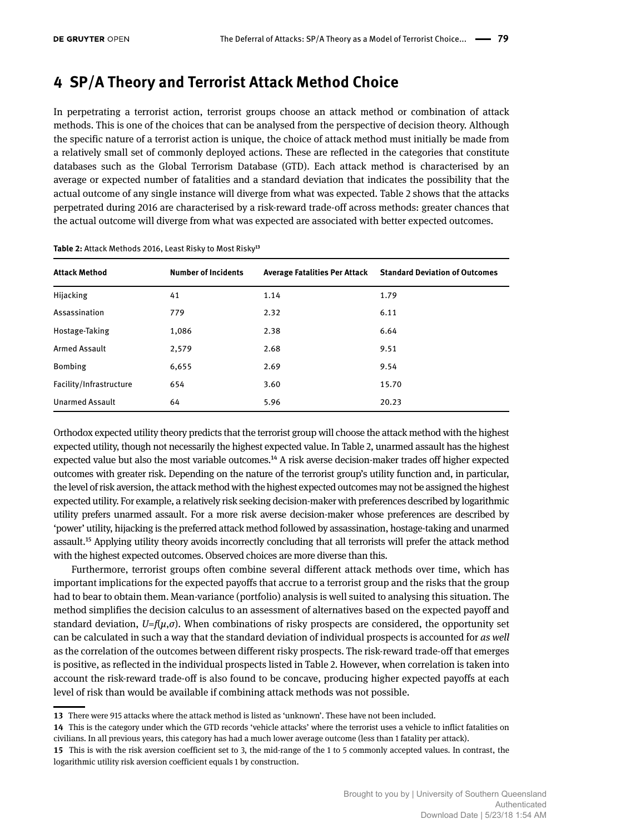# **4 SP/A Theory and Terrorist Attack Method Choice**

In perpetrating a terrorist action, terrorist groups choose an attack method or combination of attack methods. This is one of the choices that can be analysed from the perspective of decision theory. Although the specific nature of a terrorist action is unique, the choice of attack method must initially be made from a relatively small set of commonly deployed actions. These are reflected in the categories that constitute databases such as the Global Terrorism Database (GTD). Each attack method is characterised by an average or expected number of fatalities and a standard deviation that indicates the possibility that the actual outcome of any single instance will diverge from what was expected. Table 2 shows that the attacks perpetrated during 2016 are characterised by a risk-reward trade-off across methods: greater chances that the actual outcome will diverge from what was expected are associated with better expected outcomes.

| <b>Attack Method</b>    | <b>Number of Incidents</b> | <b>Average Fatalities Per Attack</b> | <b>Standard Deviation of Outcomes</b> |
|-------------------------|----------------------------|--------------------------------------|---------------------------------------|
| Hijacking               | 41                         | 1.14                                 | 1.79                                  |
| Assassination           | 779                        | 2.32                                 | 6.11                                  |
| Hostage-Taking          | 1,086                      | 2.38                                 | 6.64                                  |
| <b>Armed Assault</b>    | 2,579                      | 2.68                                 | 9.51                                  |
| <b>Bombing</b>          | 6,655                      | 2.69                                 | 9.54                                  |
| Facility/Infrastructure | 654                        | 3.60                                 | 15.70                                 |
| <b>Unarmed Assault</b>  | 64                         | 5.96                                 | 20.23                                 |

**Table 2:** Attack Methods 2016, Least Risky to Most Risky**<sup>13</sup>**

Orthodox expected utility theory predicts that the terrorist group will choose the attack method with the highest expected utility, though not necessarily the highest expected value. In Table 2, unarmed assault has the highest expected value but also the most variable outcomes.14 A risk averse decision-maker trades off higher expected outcomes with greater risk. Depending on the nature of the terrorist group's utility function and, in particular, the level of risk aversion, the attack method with the highest expected outcomes may not be assigned the highest expected utility. For example, a relatively risk seeking decision-maker with preferences described by logarithmic utility prefers unarmed assault. For a more risk averse decision-maker whose preferences are described by 'power' utility, hijacking is the preferred attack method followed by assassination, hostage-taking and unarmed assault.15 Applying utility theory avoids incorrectly concluding that all terrorists will prefer the attack method with the highest expected outcomes. Observed choices are more diverse than this.

Furthermore, terrorist groups often combine several different attack methods over time, which has important implications for the expected payoffs that accrue to a terrorist group and the risks that the group had to bear to obtain them. Mean-variance (portfolio) analysis is well suited to analysing this situation. The method simplifies the decision calculus to an assessment of alternatives based on the expected payoff and standard deviation,  $U=f(\mu,\sigma)$ . When combinations of risky prospects are considered, the opportunity set can be calculated in such a way that the standard deviation of individual prospects is accounted for *as well* as the correlation of the outcomes between different risky prospects. The risk-reward trade-off that emerges is positive, as reflected in the individual prospects listed in Table 2. However, when correlation is taken into account the risk-reward trade-off is also found to be concave, producing higher expected payoffs at each level of risk than would be available if combining attack methods was not possible.

**14** This is the category under which the GTD records 'vehicle attacks' where the terrorist uses a vehicle to inflict fatalities on civilians. In all previous years, this category has had a much lower average outcome (less than 1 fatality per attack).

**<sup>13</sup>** There were 915 attacks where the attack method is listed as 'unknown'. These have not been included.

**<sup>15</sup>** This is with the risk aversion coefficient set to 3, the mid-range of the 1 to 5 commonly accepted values. In contrast, the logarithmic utility risk aversion coefficient equals 1 by construction.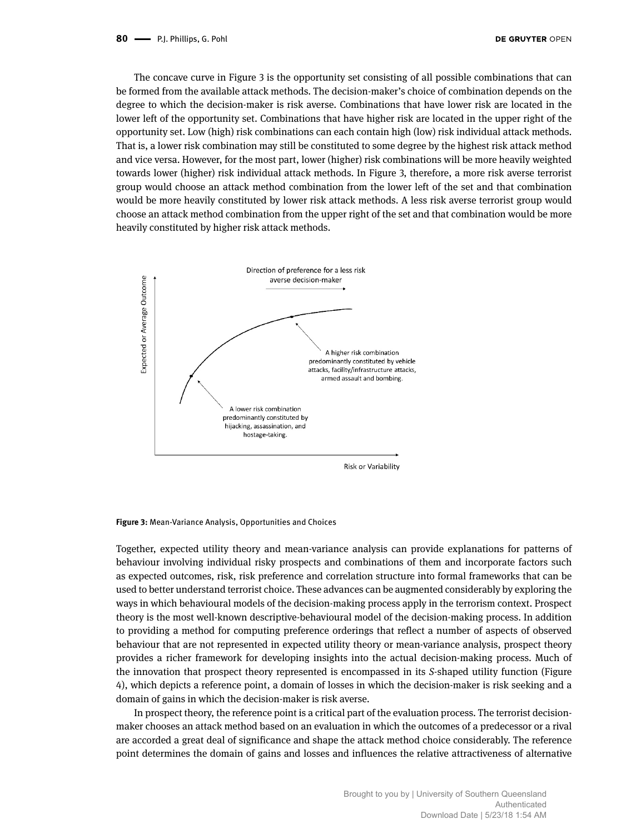The concave curve in Figure 3 is the opportunity set consisting of all possible combinations that can be formed from the available attack methods. The decision-maker's choice of combination depends on the degree to which the decision-maker is risk averse. Combinations that have lower risk are located in the lower left of the opportunity set. Combinations that have higher risk are located in the upper right of the opportunity set. Low (high) risk combinations can each contain high (low) risk individual attack methods. That is, a lower risk combination may still be constituted to some degree by the highest risk attack method and vice versa. However, for the most part, lower (higher) risk combinations will be more heavily weighted towards lower (higher) risk individual attack methods. In Figure 3, therefore, a more risk averse terrorist group would choose an attack method combination from the lower left of the set and that combination would be more heavily constituted by lower risk attack methods. A less risk averse terrorist group would choose an attack method combination from the upper right of the set and that combination would be more heavily constituted by higher risk attack methods.



#### **Figure 3:** Mean-Variance Analysis, Opportunities and Choices

Together, expected utility theory and mean-variance analysis can provide explanations for patterns of behaviour involving individual risky prospects and combinations of them and incorporate factors such as expected outcomes, risk, risk preference and correlation structure into formal frameworks that can be used to better understand terrorist choice. These advances can be augmented considerably by exploring the ways in which behavioural models of the decision-making process apply in the terrorism context. Prospect theory is the most well-known descriptive-behavioural model of the decision-making process. In addition to providing a method for computing preference orderings that reflect a number of aspects of observed behaviour that are not represented in expected utility theory or mean-variance analysis, prospect theory provides a richer framework for developing insights into the actual decision-making process. Much of the innovation that prospect theory represented is encompassed in its *S*-shaped utility function (Figure 4), which depicts a reference point, a domain of losses in which the decision-maker is risk seeking and a domain of gains in which the decision-maker is risk averse.

In prospect theory, the reference point is a critical part of the evaluation process. The terrorist decisionmaker chooses an attack method based on an evaluation in which the outcomes of a predecessor or a rival are accorded a great deal of significance and shape the attack method choice considerably. The reference point determines the domain of gains and losses and influences the relative attractiveness of alternative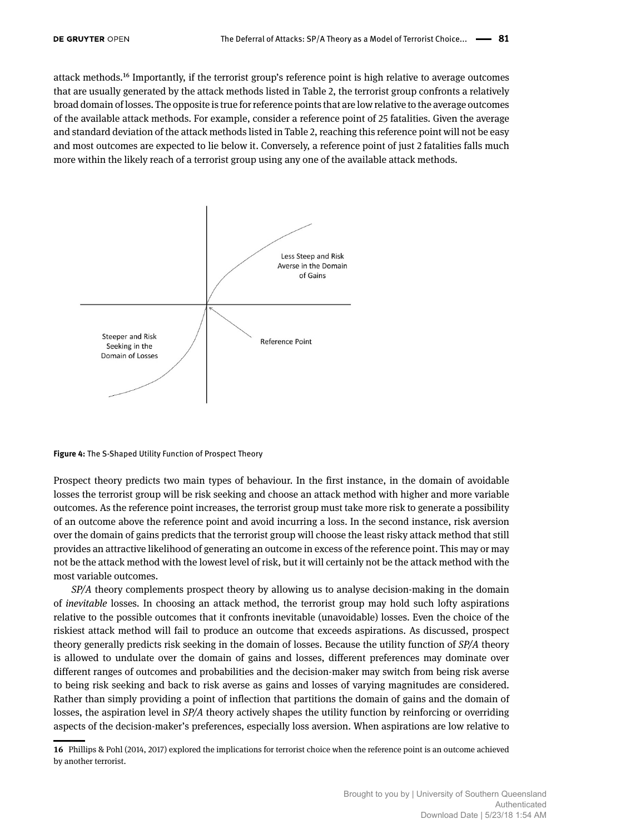attack methods.16 Importantly, if the terrorist group's reference point is high relative to average outcomes that are usually generated by the attack methods listed in Table 2, the terrorist group confronts a relatively broad domain of losses. The opposite is true for reference points that are low relative to the average outcomes of the available attack methods. For example, consider a reference point of 25 fatalities. Given the average and standard deviation of the attack methods listed in Table 2, reaching this reference point will not be easy and most outcomes are expected to lie below it. Conversely, a reference point of just 2 fatalities falls much more within the likely reach of a terrorist group using any one of the available attack methods.



**Figure 4:** The S-Shaped Utility Function of Prospect Theory

Prospect theory predicts two main types of behaviour. In the first instance, in the domain of avoidable losses the terrorist group will be risk seeking and choose an attack method with higher and more variable outcomes. As the reference point increases, the terrorist group must take more risk to generate a possibility of an outcome above the reference point and avoid incurring a loss. In the second instance, risk aversion over the domain of gains predicts that the terrorist group will choose the least risky attack method that still provides an attractive likelihood of generating an outcome in excess of the reference point. This may or may not be the attack method with the lowest level of risk, but it will certainly not be the attack method with the most variable outcomes.

*SP/A* theory complements prospect theory by allowing us to analyse decision-making in the domain of *inevitable* losses. In choosing an attack method, the terrorist group may hold such lofty aspirations relative to the possible outcomes that it confronts inevitable (unavoidable) losses. Even the choice of the riskiest attack method will fail to produce an outcome that exceeds aspirations. As discussed, prospect theory generally predicts risk seeking in the domain of losses. Because the utility function of *SP/A* theory is allowed to undulate over the domain of gains and losses, different preferences may dominate over different ranges of outcomes and probabilities and the decision-maker may switch from being risk averse to being risk seeking and back to risk averse as gains and losses of varying magnitudes are considered. Rather than simply providing a point of inflection that partitions the domain of gains and the domain of losses, the aspiration level in *SP/A* theory actively shapes the utility function by reinforcing or overriding aspects of the decision-maker's preferences, especially loss aversion. When aspirations are low relative to

**<sup>16</sup>** Phillips & Pohl (2014, 2017) explored the implications for terrorist choice when the reference point is an outcome achieved by another terrorist.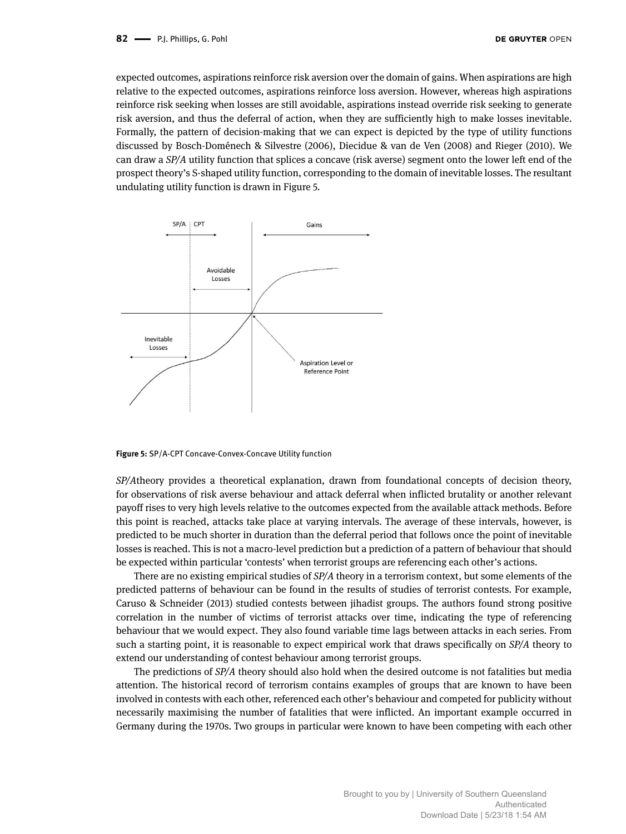expected outcomes, aspirations reinforce risk aversion over the domain of gains. When aspirations are high relative to the expected outcomes, aspirations reinforce loss aversion. However, whereas high aspirations reinforce risk seeking when losses are still avoidable, aspirations instead override risk seeking to generate risk aversion, and thus the deferral of action, when they are sufficiently high to make losses inevitable. Formally, the pattern of decision-making that we can expect is depicted by the type of utility functions discussed by Bosch-Doménech & Silvestre (2006), Diecidue & van de Ven (2008) and Rieger (2010). We can draw a *SP/A* utility function that splices a concave (risk averse) segment onto the lower left end of the prospect theory's S-shaped utility function, corresponding to the domain of inevitable losses. The resultant undulating utility function is drawn in Figure 5.



**Figure 5:** SP/A-CPT Concave-Convex-Concave Utility function

*SP/A*theory provides a theoretical explanation, drawn from foundational concepts of decision theory, for observations of risk averse behaviour and attack deferral when inflicted brutality or another relevant payoff rises to very high levels relative to the outcomes expected from the available attack methods. Before this point is reached, attacks take place at varying intervals. The average of these intervals, however, is predicted to be much shorter in duration than the deferral period that follows once the point of inevitable losses is reached. This is not a macro-level prediction but a prediction of a pattern of behaviour that should be expected within particular 'contests' when terrorist groups are referencing each other's actions.

There are no existing empirical studies of *SP/A* theory in a terrorism context, but some elements of the predicted patterns of behaviour can be found in the results of studies of terrorist contests. For example, Caruso & Schneider (2013) studied contests between jihadist groups. The authors found strong positive correlation in the number of victims of terrorist attacks over time, indicating the type of referencing behaviour that we would expect. They also found variable time lags between attacks in each series. From such a starting point, it is reasonable to expect empirical work that draws specifically on *SP/A* theory to extend our understanding of contest behaviour among terrorist groups.

The predictions of *SP/A* theory should also hold when the desired outcome is not fatalities but media attention. The historical record of terrorism contains examples of groups that are known to have been involved in contests with each other, referenced each other's behaviour and competed for publicity without necessarily maximising the number of fatalities that were inflicted. An important example occurred in Germany during the 1970s. Two groups in particular were known to have been competing with each other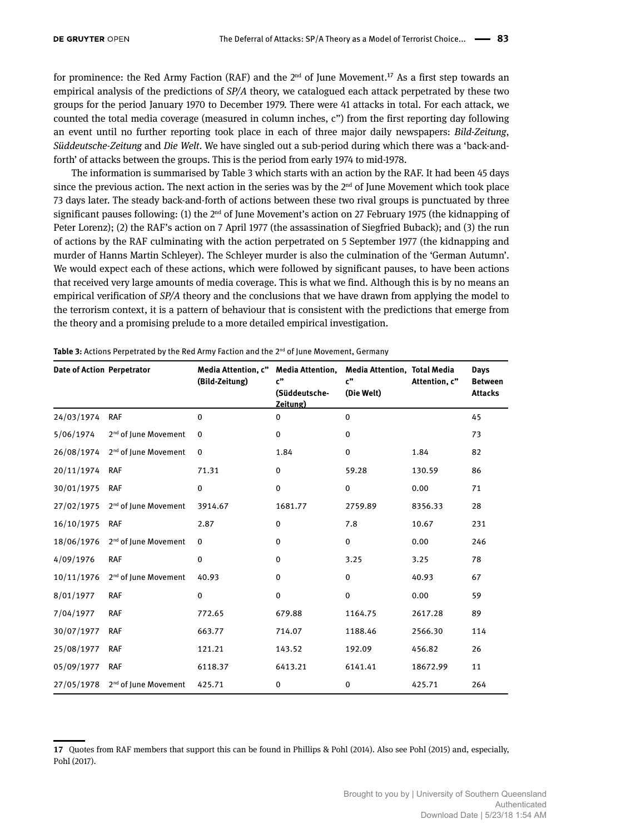for prominence: the Red Army Faction (RAF) and the  $2<sup>nd</sup>$  of June Movement.<sup>17</sup> As a first step towards an empirical analysis of the predictions of *SP/A* theory, we catalogued each attack perpetrated by these two groups for the period January 1970 to December 1979. There were 41 attacks in total. For each attack, we counted the total media coverage (measured in column inches, c") from the first reporting day following an event until no further reporting took place in each of three major daily newspapers: *Bild-Zeitung*, *Süddeutsche-Zeitung* and *Die Welt*. We have singled out a sub-period during which there was a 'back-andforth' of attacks between the groups. This is the period from early 1974 to mid-1978.

The information is summarised by Table 3 which starts with an action by the RAF. It had been 45 days since the previous action. The next action in the series was by the  $2<sup>nd</sup>$  of June Movement which took place 73 days later. The steady back-and-forth of actions between these two rival groups is punctuated by three significant pauses following: (1) the 2nd of June Movement's action on 27 February 1975 (the kidnapping of Peter Lorenz); (2) the RAF's action on 7 April 1977 (the assassination of Siegfried Buback); and (3) the run of actions by the RAF culminating with the action perpetrated on 5 September 1977 (the kidnapping and murder of Hanns Martin Schleyer). The Schleyer murder is also the culmination of the 'German Autumn'. We would expect each of these actions, which were followed by significant pauses, to have been actions that received very large amounts of media coverage. This is what we find. Although this is by no means an empirical verification of *SP/A* theory and the conclusions that we have drawn from applying the model to the terrorism context, it is a pattern of behaviour that is consistent with the predictions that emerge from the theory and a promising prelude to a more detailed empirical investigation.

| <b>Date of Action Perpetrator</b> |                                  | <b>Media Attention, c"</b><br>(Bild-Zeitung) | $c$ "<br>(Süddeutsche-<br>Zeitung) | Media Attention, Media Attention, Total Media<br>c"<br>(Die Welt) | Attention, c" | Days<br><b>Between</b><br><b>Attacks</b> |
|-----------------------------------|----------------------------------|----------------------------------------------|------------------------------------|-------------------------------------------------------------------|---------------|------------------------------------------|
| 24/03/1974                        | <b>RAF</b>                       | $\mathbf 0$                                  | $\mathbf 0$                        | $\mathbf 0$                                                       |               | 45                                       |
| 5/06/1974                         | 2 <sup>nd</sup> of June Movement | $\mathbf 0$                                  | 0                                  | 0                                                                 |               | 73                                       |
| 26/08/1974                        | 2 <sup>nd</sup> of June Movement | $\mathbf 0$                                  | 1.84                               | $\mathbf 0$                                                       | 1.84          | 82                                       |
| 20/11/1974                        | <b>RAF</b>                       | 71.31                                        | 0                                  | 59.28                                                             | 130.59        | 86                                       |
| 30/01/1975                        | <b>RAF</b>                       | 0                                            | 0                                  | $\mathbf 0$                                                       | 0.00          | 71                                       |
| 27/02/1975                        | 2 <sup>nd</sup> of June Movement | 3914.67                                      | 1681.77                            | 2759.89                                                           | 8356.33       | 28                                       |
| 16/10/1975                        | <b>RAF</b>                       | 2.87                                         | $\mathbf 0$                        | 7.8                                                               | 10.67         | 231                                      |
| 18/06/1976                        | 2 <sup>nd</sup> of June Movement | $\mathbf 0$                                  | 0                                  | $\mathbf 0$                                                       | 0.00          | 246                                      |
| 4/09/1976                         | <b>RAF</b>                       | 0                                            | $\mathbf 0$                        | 3.25                                                              | 3.25          | 78                                       |
| 10/11/1976                        | 2 <sup>nd</sup> of June Movement | 40.93                                        | 0                                  | $\Omega$                                                          | 40.93         | 67                                       |
| 8/01/1977                         | <b>RAF</b>                       | $\mathbf 0$                                  | $\mathbf 0$                        | $\mathbf 0$                                                       | 0.00          | 59                                       |
| 7/04/1977                         | RAF                              | 772.65                                       | 679.88                             | 1164.75                                                           | 2617.28       | 89                                       |
| 30/07/1977                        | <b>RAF</b>                       | 663.77                                       | 714.07                             | 1188.46                                                           | 2566.30       | 114                                      |
| 25/08/1977                        | <b>RAF</b>                       | 121.21                                       | 143.52                             | 192.09                                                            | 456.82        | 26                                       |
| 05/09/1977                        | <b>RAF</b>                       | 6118.37                                      | 6413.21                            | 6141.41                                                           | 18672.99      | 11                                       |
| 27/05/1978                        | 2 <sup>nd</sup> of lune Movement | 425.71                                       | 0                                  | 0                                                                 | 425.71        | 264                                      |

Table 3: Actions Perpetrated by the Red Army Faction and the 2<sup>nd</sup> of June Movement, Germany

**17** Quotes from RAF members that support this can be found in Phillips & Pohl (2014). Also see Pohl (2015) and, especially, Pohl (2017).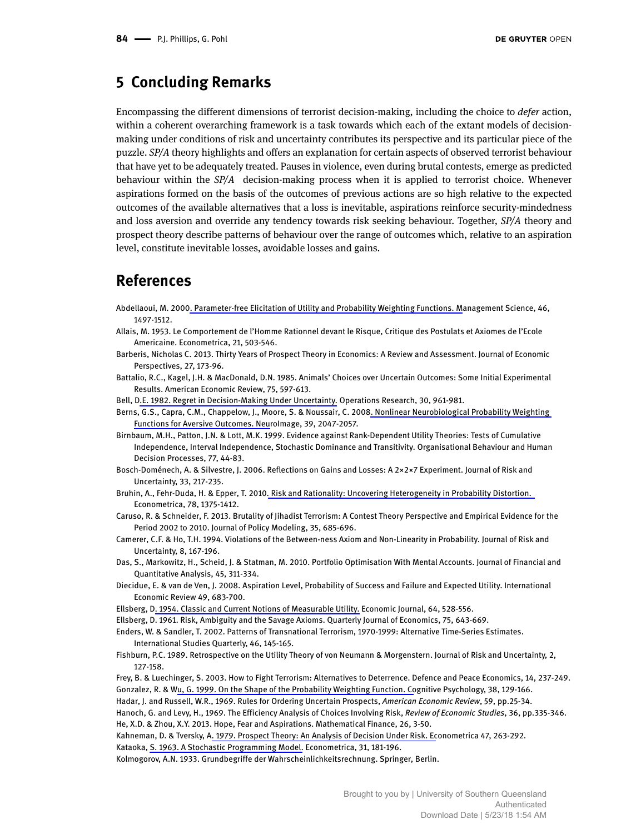### **5 Concluding Remarks**

Encompassing the different dimensions of terrorist decision-making, including the choice to *defer* action, within a coherent overarching framework is a task towards which each of the extant models of decisionmaking under conditions of risk and uncertainty contributes its perspective and its particular piece of the puzzle. *SP/A* theory highlights and offers an explanation for certain aspects of observed terrorist behaviour that have yet to be adequately treated. Pauses in violence, even during brutal contests, emerge as predicted behaviour within the *SP/A* decision-making process when it is applied to terrorist choice. Whenever aspirations formed on the basis of the outcomes of previous actions are so high relative to the expected outcomes of the available alternatives that a loss is inevitable, aspirations reinforce security-mindedness and loss aversion and override any tendency towards risk seeking behaviour. Together, *SP/A* theory and prospect theory describe patterns of behaviour over the range of outcomes which, relative to an aspiration level, constitute inevitable losses, avoidable losses and gains.

### **References**

- Abdellaoui, M. 2000. Parameter-free Elicitation of Utility and Probability Weighting Functions. Management Science, 46, 1497-1512.
- Allais, M. 1953. Le Comportement de l'Homme Rationnel devant le Risque, Critique des Postulats et Axiomes de l'Ecole Americaine. Econometrica, 21, 503-546.
- Barberis, Nicholas C. 2013. Thirty Years of Prospect Theory in Economics: A Review and Assessment. Journal of Economic Perspectives, 27, 173-96.
- Battalio, R.C., Kagel, J.H. & MacDonald, D.N. 1985. Animals' Choices over Uncertain Outcomes: Some Initial Experimental Results. American Economic Review, 75, 597-613.

Bell, D.E. 1982. Regret in Decision-Making Under Uncertainty. Operations Research, 30, 961-981.

Berns, G.S., Capra, C.M., Chappelow, J., Moore, S. & Noussair, C. 2008. Nonlinear Neurobiological Probability Weighting Functions for Aversive Outcomes. NeuroImage, 39, 2047-2057.

- Birnbaum, M.H., Patton, J.N. & Lott, M.K. 1999. Evidence against Rank-Dependent Utility Theories: Tests of Cumulative Independence, Interval Independence, Stochastic Dominance and Transitivity. Organisational Behaviour and Human Decision Processes, 77, 44-83.
- Bosch-Doménech, A. & Silvestre, J. 2006. Reflections on Gains and Losses: A 2×2×7 Experiment. Journal of Risk and Uncertainty, 33, 217-235.
- Bruhin, A., Fehr-Duda, H. & Epper, T. 2010. Risk and Rationality: Uncovering Heterogeneity in Probability Distortion. Econometrica, 78, 1375-1412.
- Caruso, R. & Schneider, F. 2013. Brutality of Jihadist Terrorism: A Contest Theory Perspective and Empirical Evidence for the Period 2002 to 2010. Journal of Policy Modeling, 35, 685-696.
- Camerer, C.F. & Ho, T.H. 1994. Violations of the Between-ness Axiom and Non-Linearity in Probability. Journal of Risk and Uncertainty, 8, 167-196.
- Das, S., Markowitz, H., Scheid, J. & Statman, M. 2010. Portfolio Optimisation With Mental Accounts. Journal of Financial and Quantitative Analysis, 45, 311-334.
- Diecidue, E. & van de Ven, J. 2008. Aspiration Level, Probability of Success and Failure and Expected Utility. International Economic Review 49, 683-700.
- Ellsberg, D. 1954. Classic and Current Notions of Measurable Utility. Economic Journal, 64, 528-556.
- Ellsberg, D. 1961. Risk, Ambiguity and the Savage Axioms. Quarterly Journal of Economics, 75, 643-669.
- Enders, W. & Sandler, T. 2002. Patterns of Transnational Terrorism, 1970-1999: Alternative Time-Series Estimates. International Studies Quarterly, 46, 145-165.
- Fishburn, P.C. 1989. Retrospective on the Utility Theory of von Neumann & Morgenstern. Journal of Risk and Uncertainty, 2, 127-158.
- Frey, B. & Luechinger, S. 2003. How to Fight Terrorism: Alternatives to Deterrence. Defence and Peace Economics, 14, 237-249. Gonzalez, R. & Wu, G. 1999. On the Shape of the Probability Weighting Function. Cognitive Psychology, 38, 129-166.

Hadar, J. and Russell, W.R., 1969. Rules for Ordering Uncertain Prospects, *American Economic Review*, 59, pp.25-34.

Hanoch, G. and Levy, H., 1969. The Efficiency Analysis of Choices Involving Risk, *Review of Economic Studies*, 36, pp.335-346. He, X.D. & Zhou, X.Y. 2013. Hope, Fear and Aspirations. Mathematical Finance, 26, 3-50.

Kahneman, D. & Tversky, A. 1979. Prospect Theory: An Analysis of Decision Under Risk. Econometrica 47, 263-292.

Kataoka, S. 1963. A Stochastic Programming Model. Econometrica, 31, 181-196.

Kolmogorov, A.N. 1933. Grundbegriffe der Wahrscheinlichkeitsrechnung. Springer, Berlin.